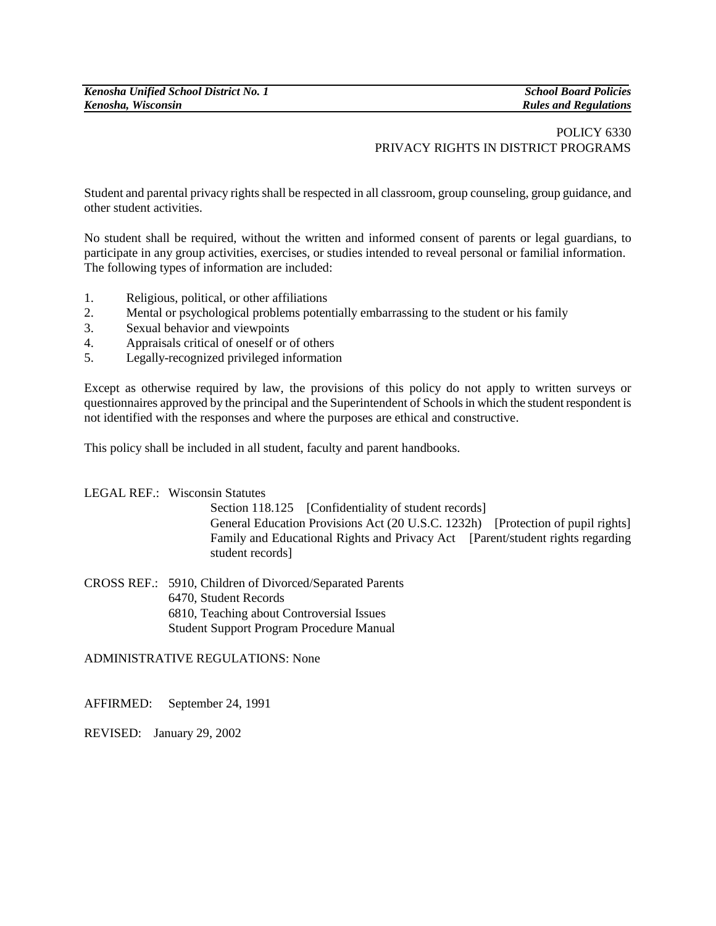## POLICY 6330 PRIVACY RIGHTS IN DISTRICT PROGRAMS

Student and parental privacy rights shall be respected in all classroom, group counseling, group guidance, and other student activities.

No student shall be required, without the written and informed consent of parents or legal guardians, to participate in any group activities, exercises, or studies intended to reveal personal or familial information. The following types of information are included:

- 1. Religious, political, or other affiliations
- 2. Mental or psychological problems potentially embarrassing to the student or his family
- 3. Sexual behavior and viewpoints
- 4. Appraisals critical of oneself or of others
- 5. Legally-recognized privileged information

Except as otherwise required by law, the provisions of this policy do not apply to written surveys or questionnaires approved by the principal and the Superintendent of Schools in which the student respondent is not identified with the responses and where the purposes are ethical and constructive.

This policy shall be included in all student, faculty and parent handbooks.

## LEGAL REF.: Wisconsin Statutes

Section 118.125 [Confidentiality of student records] General Education Provisions Act (20 U.S.C. 1232h) [Protection of pupil rights] Family and Educational Rights and Privacy Act [Parent/student rights regarding student records]

CROSS REF.: 5910, Children of Divorced/Separated Parents 6470, Student Records 6810, Teaching about Controversial Issues Student Support Program Procedure Manual

ADMINISTRATIVE REGULATIONS: None

AFFIRMED: September 24, 1991

REVISED: January 29, 2002